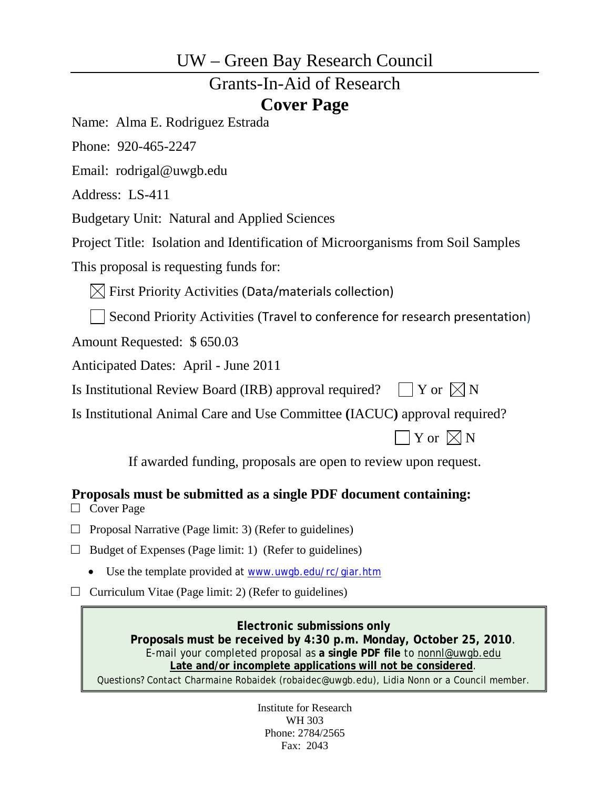## UW – Green Bay Research Council

# Grants-In-Aid of Research **Cover Page**

Name: Alma E. Rodriguez Estrada

Phone: 920-465-2247

Email: rodrigal@uwgb.edu

Address: LS-411

Budgetary Unit: Natural and Applied Sciences

Project Title: Isolation and Identification of Microorganisms from Soil Samples

This proposal is requesting funds for:

 $\boxtimes$  First Priority Activities (Data/materials collection)

Second Priority Activities (Travel to conference for research presentation)

Amount Requested: \$ 650.03

Anticipated Dates: April - June 2011

Is Institutional Review Board (IRB) approval required?  $\Box$  Y or  $\Box N$ 

Is Institutional Animal Care and Use Committee **(**IACUC**)** approval required?

 $\exists$  Y or  $\boxtimes$  N

If awarded funding, proposals are open to review upon request.

## **Proposals must be submitted as a single PDF document containing:**

- □ Cover Page
- $\Box$  Proposal Narrative (Page limit: 3) (Refer to guidelines)
- $\Box$  Budget of Expenses (Page limit: 1) (Refer to guidelines)
	- Use the template provided at [www.uwgb.edu/rc/giar.htm](http://www.uwgb.edu/rc/giar.htm)
- $\Box$  Curriculum Vitae (Page limit: 2) (Refer to guidelines)

**Electronic submissions only Proposals must be received by 4:30 p.m. Monday, October 25, 2010**. E-mail your completed proposal as **a single PDF file** to [nonnl@uwgb.edu](mailto:nonnl@uwgb.edu) **Late and/or incomplete applications will not be considered**. Questions? Contact Charmaine Robaidek (robaidec@uwgb.edu), Lidia Nonn or a Council member.

> Institute for Research WH 303 Phone: 2784/2565 Fax: 2043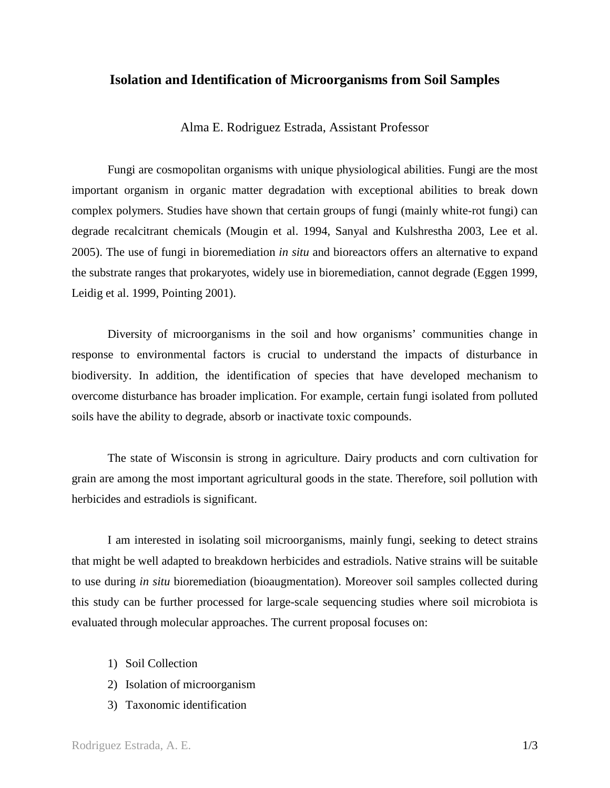## **Isolation and Identification of Microorganisms from Soil Samples**

Alma E. Rodriguez Estrada, Assistant Professor

Fungi are cosmopolitan organisms with unique physiological abilities. Fungi are the most important organism in organic matter degradation with exceptional abilities to break down complex polymers. Studies have shown that certain groups of fungi (mainly white-rot fungi) can degrade recalcitrant chemicals (Mougin et al. 1994, Sanyal and Kulshrestha 2003, Lee et al. 2005). The use of fungi in bioremediation *in situ* and bioreactors offers an alternative to expand the substrate ranges that prokaryotes, widely use in bioremediation, cannot degrade (Eggen 1999, Leidig et al. 1999, Pointing 2001).

Diversity of microorganisms in the soil and how organisms' communities change in response to environmental factors is crucial to understand the impacts of disturbance in biodiversity. In addition, the identification of species that have developed mechanism to overcome disturbance has broader implication. For example, certain fungi isolated from polluted soils have the ability to degrade, absorb or inactivate toxic compounds.

The state of Wisconsin is strong in agriculture. Dairy products and corn cultivation for grain are among the most important agricultural goods in the state. Therefore, soil pollution with herbicides and estradiols is significant.

I am interested in isolating soil microorganisms, mainly fungi, seeking to detect strains that might be well adapted to breakdown herbicides and estradiols. Native strains will be suitable to use during *in situ* bioremediation (bioaugmentation). Moreover soil samples collected during this study can be further processed for large-scale sequencing studies where soil microbiota is evaluated through molecular approaches. The current proposal focuses on:

- 1) Soil Collection
- 2) Isolation of microorganism
- 3) Taxonomic identification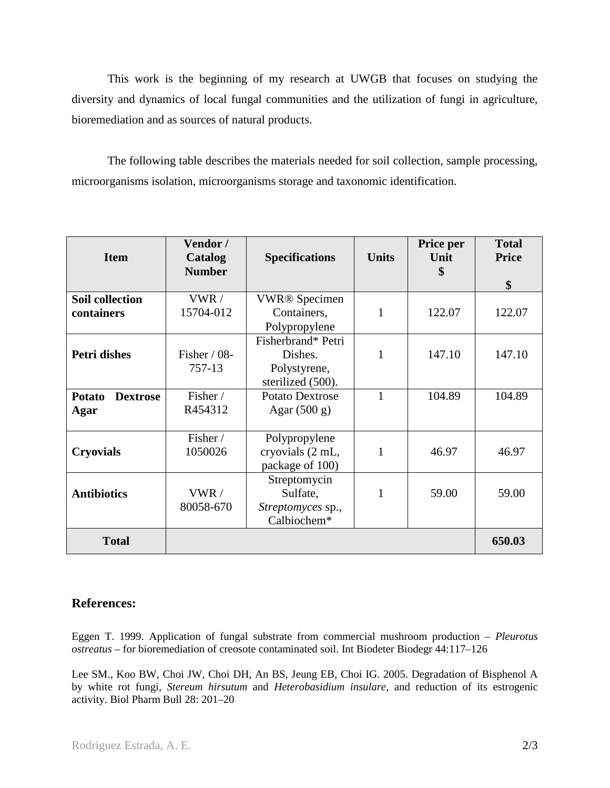This work is the beginning of my research at UWGB that focuses on studying the diversity and dynamics of local fungal communities and the utilization of fungi in agriculture, bioremediation and as sources of natural products.

The following table describes the materials needed for soil collection, sample processing, microorganisms isolation, microorganisms storage and taxonomic identification.

| <b>Item</b>                      | Vendor /<br>Catalog<br><b>Number</b> | <b>Specifications</b>               | <b>Units</b> | Price per<br>Unit<br>\$ | <b>Total</b><br><b>Price</b> |
|----------------------------------|--------------------------------------|-------------------------------------|--------------|-------------------------|------------------------------|
|                                  |                                      |                                     |              |                         | \$                           |
| <b>Soil collection</b>           | VWR /                                | <b>VWR®</b> Specimen                |              |                         |                              |
| containers                       | 15704-012                            | Containers,<br>Polypropylene        | 1            | 122.07                  | 122.07                       |
|                                  |                                      | Fisherbrand* Petri                  |              |                         |                              |
| Petri dishes                     | Fisher $/$ 08-                       | Dishes.                             | 1            | 147.10                  | 147.10                       |
|                                  | 757-13                               | Polystyrene,                        |              |                         |                              |
|                                  |                                      | sterilized (500).                   |              |                         |                              |
| <b>Dextrose</b><br><b>Potato</b> | Fisher /                             | <b>Potato Dextrose</b>              | 1            | 104.89                  | 104.89                       |
| Agar                             | R454312                              | Agar $(500 g)$                      |              |                         |                              |
|                                  | Fisher /                             | Polypropylene                       |              |                         |                              |
| <b>Cryovials</b>                 | 1050026                              | cryovials (2 mL,<br>package of 100) | 1            | 46.97                   | 46.97                        |
|                                  |                                      | Streptomycin                        |              |                         |                              |
| <b>Antibiotics</b>               | VWR/                                 | Sulfate,                            | 1            | 59.00                   | 59.00                        |
|                                  | 80058-670                            | Streptomyces sp.,                   |              |                         |                              |
|                                  |                                      | Calbiochem*                         |              |                         |                              |
| <b>Total</b>                     |                                      |                                     |              |                         | 650.03                       |

## **References:**

Eggen T. 1999. Application of fungal substrate from commercial mushroom production – *Pleurotus ostreatus* – for bioremediation of creosote contaminated soil. Int Biodeter Biodegr 44:117–126

Lee SM., Koo BW, Choi JW, Choi DH, An BS, Jeung EB, Choi IG. 2005. Degradation of Bisphenol A by white rot fungi, *Stereum hirsutum* and *Heterobasidium insulare*, and reduction of its estrogenic activity. Biol Pharm Bull 28: 201–20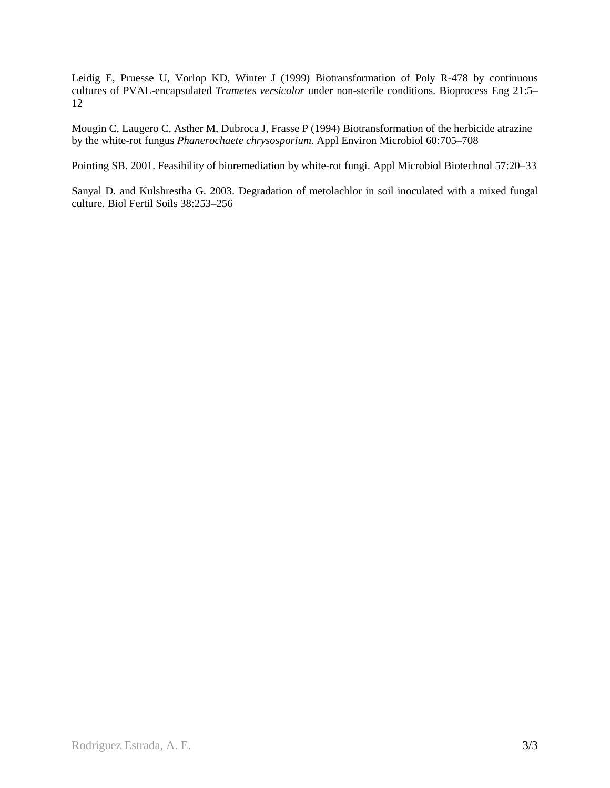Leidig E, Pruesse U, Vorlop KD, Winter J (1999) Biotransformation of Poly R-478 by continuous cultures of PVAL-encapsulated *Trametes versicolor* under non-sterile conditions. Bioprocess Eng 21:5– 12

Mougin C, Laugero C, Asther M, Dubroca J, Frasse P (1994) Biotransformation of the herbicide atrazine by the white-rot fungus *Phanerochaete chrysosporium*. Appl Environ Microbiol 60:705–708

Pointing SB. 2001. Feasibility of bioremediation by white-rot fungi. Appl Microbiol Biotechnol 57:20–33

Sanyal D. and Kulshrestha G. 2003. Degradation of metolachlor in soil inoculated with a mixed fungal culture. Biol Fertil Soils 38:253–256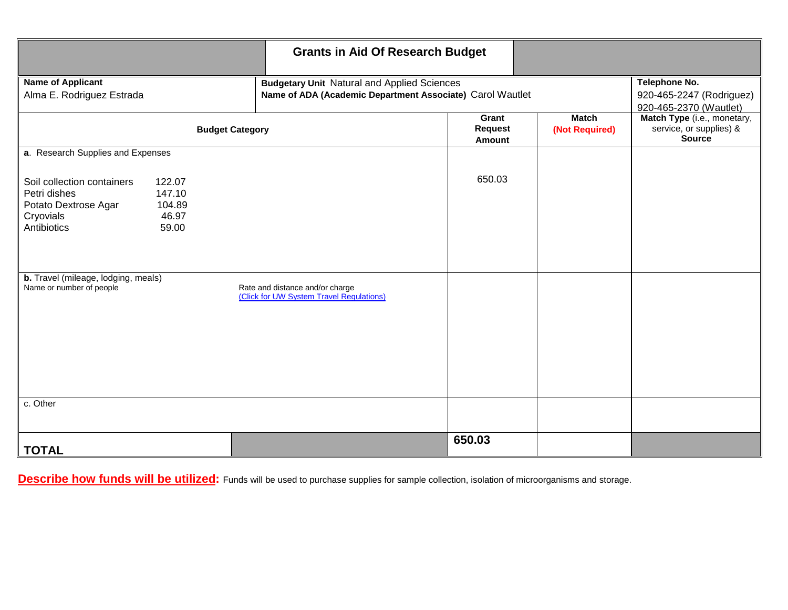|                                                                                                                                                | <b>Grants in Aid Of Research Budget</b>                                                                         |                                                                     |                                |                                                                         |
|------------------------------------------------------------------------------------------------------------------------------------------------|-----------------------------------------------------------------------------------------------------------------|---------------------------------------------------------------------|--------------------------------|-------------------------------------------------------------------------|
| <b>Name of Applicant</b><br>Alma E. Rodriguez Estrada                                                                                          | <b>Budgetary Unit Natural and Applied Sciences</b><br>Name of ADA (Academic Department Associate) Carol Wautlet | Telephone No.<br>920-465-2247 (Rodriguez)<br>920-465-2370 (Wautlet) |                                |                                                                         |
| <b>Budget Category</b>                                                                                                                         |                                                                                                                 | Grant<br><b>Request</b><br>Amount                                   | <b>Match</b><br>(Not Required) | Match Type (i.e., monetary,<br>service, or supplies) &<br><b>Source</b> |
| a. Research Supplies and Expenses                                                                                                              |                                                                                                                 |                                                                     |                                |                                                                         |
| Soil collection containers<br>122.07<br>147.10<br>Petri dishes<br>Potato Dextrose Agar<br>104.89<br>Cryovials<br>46.97<br>Antibiotics<br>59.00 |                                                                                                                 | 650.03                                                              |                                |                                                                         |
| b. Travel (mileage, lodging, meals)<br>Name or number of people                                                                                | Rate and distance and/or charge<br>(Click for UW System Travel Regulations)                                     |                                                                     |                                |                                                                         |
| c. Other                                                                                                                                       |                                                                                                                 |                                                                     |                                |                                                                         |
|                                                                                                                                                |                                                                                                                 | 650.03                                                              |                                |                                                                         |
| <b>TOTAL</b>                                                                                                                                   |                                                                                                                 |                                                                     |                                |                                                                         |

**Describe how funds will be utilized:** Funds will be used to purchase supplies for sample collection, isolation of microorganisms and storage.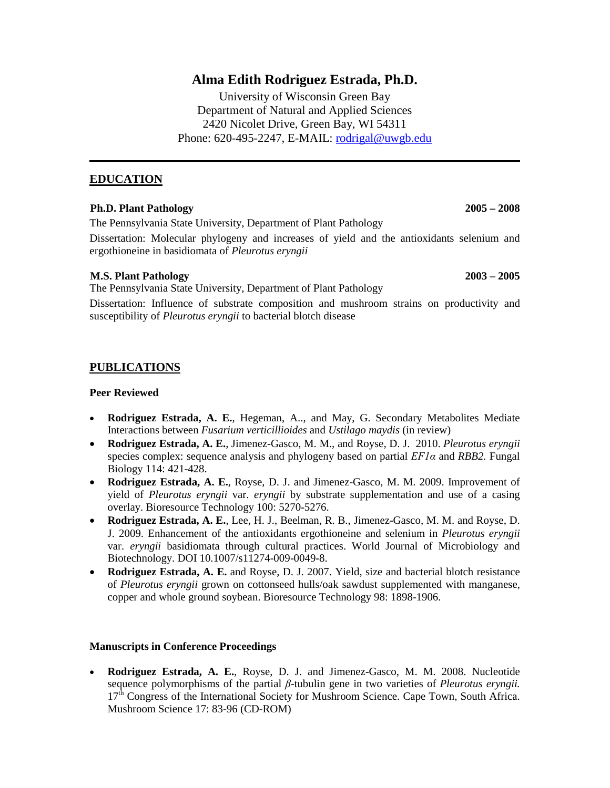## **Alma Edith Rodriguez Estrada, Ph.D.**

University of Wisconsin Green Bay Department of Natural and Applied Sciences 2420 Nicolet Drive, Green Bay, WI 54311 Phone: 620-495-2247, E-MAIL: [rodrigal@uwgb.edu](mailto:rodrigal@uwgb.edu)

## **EDUCATION**

## **Ph.D. Plant Pathology 2005 – 2008**

The Pennsylvania State University, Department of Plant Pathology

Dissertation: Molecular phylogeny and increases of yield and the antioxidants selenium and ergothioneine in basidiomata of *Pleurotus eryngii*

## **M.S. Plant Pathology 2003 – 2005**

The Pennsylvania State University, Department of Plant Pathology

Dissertation: Influence of substrate composition and mushroom strains on productivity and susceptibility of *Pleurotus eryngii* to bacterial blotch disease

## **PUBLICATIONS**

#### **Peer Reviewed**

- **Rodriguez Estrada, A. E.**, Hegeman, A.., and May, G. Secondary Metabolites Mediate Interactions between *Fusarium verticillioides* and *Ustilago maydis* (in review)
- **Rodriguez Estrada, A. E.**, Jimenez-Gasco, M. M., and Royse, D. J. 2010. *Pleurotus eryngii* species complex: sequence analysis and phylogeny based on partial *EF1α* and *RBB2.* Fungal Biology 114: 421-428.
- **Rodriguez Estrada, A. E.**, Royse, D. J. and Jimenez-Gasco, M. M. 2009. Improvement of yield of *Pleurotus eryngii* var. *eryngii* by substrate supplementation and use of a casing overlay. Bioresource Technology 100: 5270-5276.
- **Rodriguez Estrada, A. E.**, Lee, H. J., Beelman, R. B., Jimenez-Gasco, M. M. and Royse, D. J. 2009. Enhancement of the antioxidants ergothioneine and selenium in *Pleurotus eryngii* var. *eryngii* basidiomata through cultural practices. World Journal of Microbiology and Biotechnology. DOI 10.1007/s11274-009-0049-8.
- **Rodriguez Estrada, A. E.** and Royse, D. J. 2007. Yield, size and bacterial blotch resistance of *Pleurotus eryngii* grown on cottonseed hulls/oak sawdust supplemented with manganese, copper and whole ground soybean. Bioresource Technology 98: 1898-1906.

#### **Manuscripts in Conference Proceedings**

• **Rodriguez Estrada, A. E.**, Royse, D. J. and Jimenez-Gasco, M. M. 2008. Nucleotide sequence polymorphisms of the partial *β*-tubulin gene in two varieties of *Pleurotus eryngii.* 17<sup>th</sup> Congress of the International Society for Mushroom Science. Cape Town, South Africa. Mushroom Science 17: 83-96 (CD-ROM)